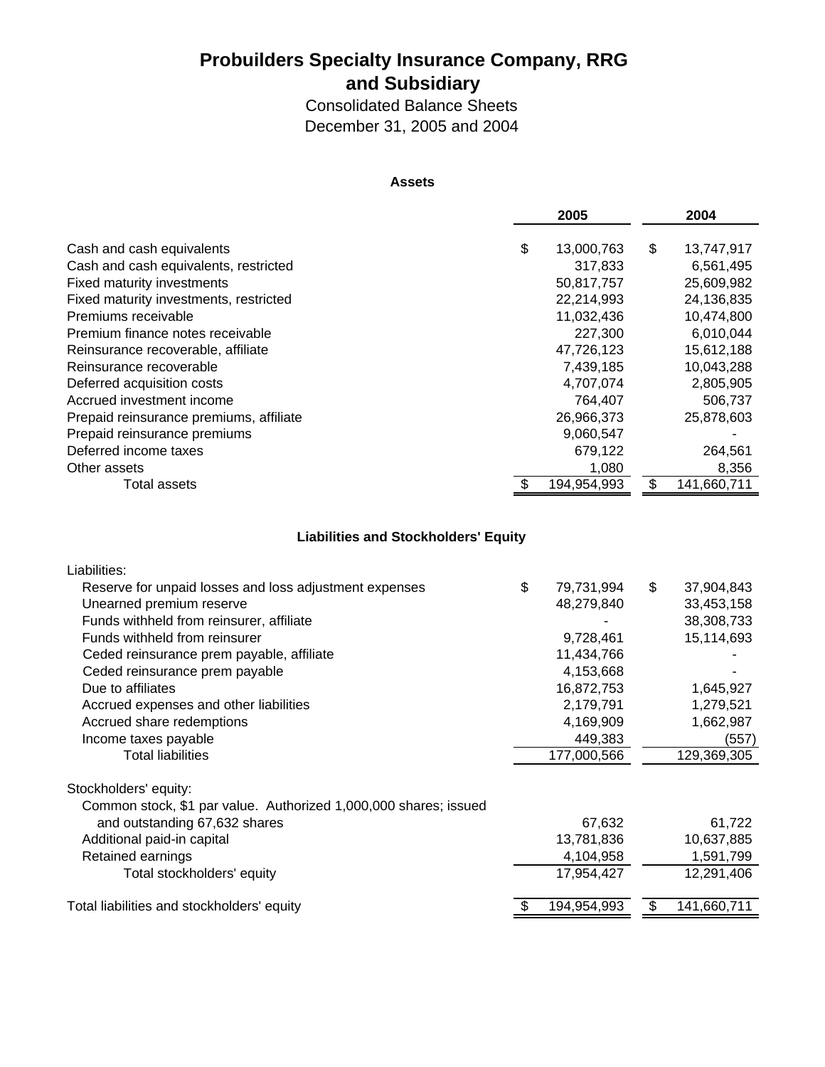### **Probuilders Specialty Insurance Company, RRG and Subsidiary**

Consolidated Balance Sheets December 31, 2005 and 2004

#### **Assets**

|                                         | 2005             | 2004             |
|-----------------------------------------|------------------|------------------|
|                                         |                  |                  |
| Cash and cash equivalents               | \$<br>13,000,763 | \$<br>13,747,917 |
| Cash and cash equivalents, restricted   | 317,833          | 6,561,495        |
| <b>Fixed maturity investments</b>       | 50,817,757       | 25,609,982       |
| Fixed maturity investments, restricted  | 22,214,993       | 24,136,835       |
| Premiums receivable                     | 11,032,436       | 10,474,800       |
| Premium finance notes receivable        | 227,300          | 6,010,044        |
| Reinsurance recoverable, affiliate      | 47,726,123       | 15,612,188       |
| Reinsurance recoverable                 | 7,439,185        | 10,043,288       |
| Deferred acquisition costs              | 4,707,074        | 2,805,905        |
| Accrued investment income               | 764,407          | 506,737          |
| Prepaid reinsurance premiums, affiliate | 26,966,373       | 25,878,603       |
| Prepaid reinsurance premiums            | 9,060,547        |                  |
| Deferred income taxes                   | 679,122          | 264,561          |
| Other assets                            | 1,080            | 8,356            |
| Total assets                            | 194,954,993      | 141,660,711      |

### **Liabilities and Stockholders' Equity**

| Liabilities:                                                     |                  |    |             |
|------------------------------------------------------------------|------------------|----|-------------|
| Reserve for unpaid losses and loss adjustment expenses           | \$<br>79,731,994 | \$ | 37,904,843  |
| Unearned premium reserve                                         | 48,279,840       |    | 33,453,158  |
| Funds withheld from reinsurer, affiliate                         |                  |    | 38,308,733  |
| Funds withheld from reinsurer                                    | 9,728,461        |    | 15,114,693  |
| Ceded reinsurance prem payable, affiliate                        | 11,434,766       |    |             |
| Ceded reinsurance prem payable                                   | 4,153,668        |    |             |
| Due to affiliates                                                | 16,872,753       |    | 1,645,927   |
| Accrued expenses and other liabilities                           | 2,179,791        |    | 1,279,521   |
| Accrued share redemptions                                        | 4,169,909        |    | 1,662,987   |
| Income taxes payable                                             | 449,383          |    | (557)       |
| <b>Total liabilities</b>                                         | 177,000,566      |    | 129,369,305 |
| Stockholders' equity:                                            |                  |    |             |
| Common stock, \$1 par value. Authorized 1,000,000 shares; issued |                  |    |             |
| and outstanding 67,632 shares                                    | 67,632           |    | 61,722      |
| Additional paid-in capital                                       | 13,781,836       |    | 10,637,885  |
| Retained earnings                                                | 4,104,958        |    | 1,591,799   |
| Total stockholders' equity                                       | 17,954,427       |    | 12,291,406  |
| Total liabilities and stockholders' equity                       | 194,954,993      | S  | 141,660,711 |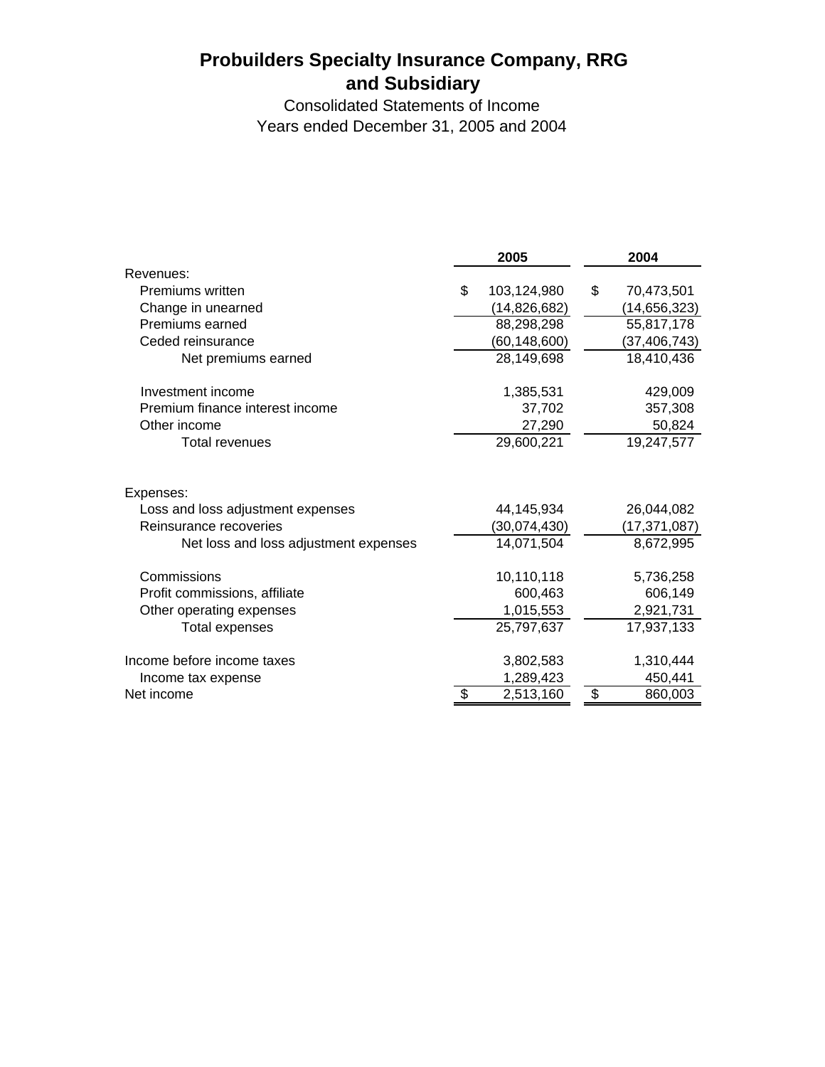# **Probuilders Specialty Insurance Company, RRG and Subsidiary**

Consolidated Statements of Income Years ended December 31, 2005 and 2004

|                                       | 2005              | 2004             |
|---------------------------------------|-------------------|------------------|
| Revenues:                             |                   |                  |
| Premiums written                      | \$<br>103,124,980 | \$<br>70,473,501 |
| Change in unearned                    | (14, 826, 682)    | (14, 656, 323)   |
| Premiums earned                       | 88,298,298        | 55,817,178       |
| Ceded reinsurance                     | (60, 148, 600)    | (37, 406, 743)   |
| Net premiums earned                   | 28,149,698        | 18,410,436       |
| Investment income                     | 1,385,531         | 429,009          |
| Premium finance interest income       | 37,702            | 357,308          |
| Other income                          | 27,290            | 50,824           |
| <b>Total revenues</b>                 | 29,600,221        | 19,247,577       |
| Expenses:                             |                   |                  |
| Loss and loss adjustment expenses     | 44,145,934        | 26,044,082       |
| Reinsurance recoveries                | (30,074,430)      | (17, 371, 087)   |
| Net loss and loss adjustment expenses | 14,071,504        | 8,672,995        |
| Commissions                           | 10,110,118        | 5,736,258        |
| Profit commissions, affiliate         | 600,463           | 606,149          |
| Other operating expenses              | 1,015,553         | 2,921,731        |
| Total expenses                        | 25,797,637        | 17,937,133       |
| Income before income taxes            | 3,802,583         | 1,310,444        |
| Income tax expense                    | 1,289,423         | 450,441          |
| Net income                            | \$<br>2,513,160   | \$<br>860,003    |